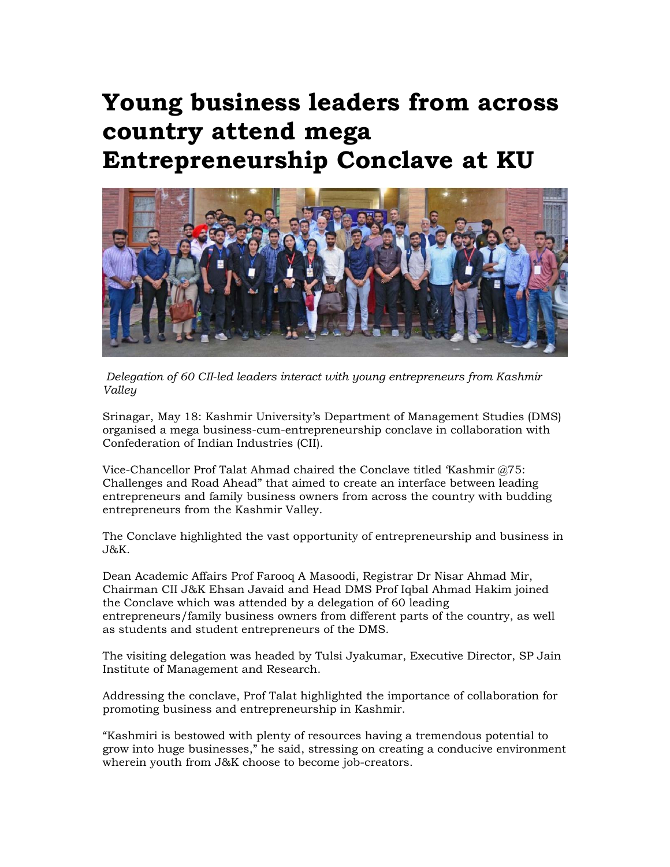## **Young business leaders from across country attend mega Entrepreneurship Conclave at KU**



 *Delegation of 60 CII-led leaders interact with young entrepreneurs from Kashmir Valley* 

Srinagar, May 18: Kashmir University's Department of Management Studies (DMS) organised a mega business-cum-entrepreneurship conclave in collaboration with Confederation of Indian Industries (CII).

Vice-Chancellor Prof Talat Ahmad chaired the Conclave titled 'Kashmir @75: Challenges and Road Ahead" that aimed to create an interface between leading entrepreneurs and family business owners from across the country with budding entrepreneurs from the Kashmir Valley.

The Conclave highlighted the vast opportunity of entrepreneurship and business in J&K.

Dean Academic Affairs Prof Farooq A Masoodi, Registrar Dr Nisar Ahmad Mir, Chairman CII J&K Ehsan Javaid and Head DMS Prof Iqbal Ahmad Hakim joined the Conclave which was attended by a delegation of 60 leading entrepreneurs/family business owners from different parts of the country, as well as students and student entrepreneurs of the DMS.

The visiting delegation was headed by Tulsi Jyakumar, Executive Director, SP Jain Institute of Management and Research.

Addressing the conclave, Prof Talat highlighted the importance of collaboration for promoting business and entrepreneurship in Kashmir.

"Kashmiri is bestowed with plenty of resources having a tremendous potential to grow into huge businesses," he said, stressing on creating a conducive environment wherein youth from J&K choose to become job-creators.